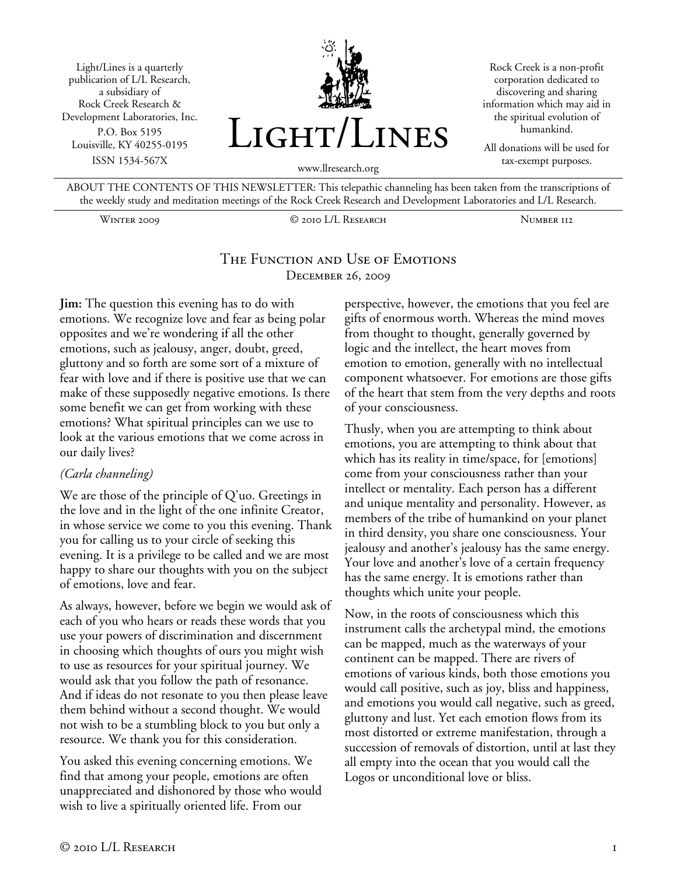Light/Lines is a quarterly publication of L/L Research, a subsidiary of Rock Creek Research & Development Laboratories, Inc. P.O. Box 5195 Louisville, KY 40255-0195 ISSN 1534-567X



Rock Creek is a non-profit corporation dedicated to discovering and sharing information which may aid in the spiritual evolution of humankind.

All donations will be used for tax-exempt purposes.

ABOUT THE CONTENTS OF THIS NEWSLETTER: This telepathic channeling has been taken from the transcriptions of

the weekly study and meditation meetings of the Rock Creek Research and Development Laboratories and L/L Research. Winter 2009 © 2010 L/L Research Number 112

#### The Function and Use of Emotions December 26, 2009

**Jim:** The question this evening has to do with emotions. We recognize love and fear as being polar opposites and we're wondering if all the other emotions, such as jealousy, anger, doubt, greed, gluttony and so forth are some sort of a mixture of fear with love and if there is positive use that we can make of these supposedly negative emotions. Is there some benefit we can get from working with these emotions? What spiritual principles can we use to look at the various emotions that we come across in our daily lives?

#### *(Carla channeling)*

We are those of the principle of Q'uo. Greetings in the love and in the light of the one infinite Creator, in whose service we come to you this evening. Thank you for calling us to your circle of seeking this evening. It is a privilege to be called and we are most happy to share our thoughts with you on the subject of emotions, love and fear.

As always, however, before we begin we would ask of each of you who hears or reads these words that you use your powers of discrimination and discernment in choosing which thoughts of ours you might wish to use as resources for your spiritual journey. We would ask that you follow the path of resonance. And if ideas do not resonate to you then please leave them behind without a second thought. We would not wish to be a stumbling block to you but only a resource. We thank you for this consideration.

You asked this evening concerning emotions. We find that among your people, emotions are often unappreciated and dishonored by those who would wish to live a spiritually oriented life. From our

perspective, however, the emotions that you feel are gifts of enormous worth. Whereas the mind moves from thought to thought, generally governed by logic and the intellect, the heart moves from emotion to emotion, generally with no intellectual component whatsoever. For emotions are those gifts of the heart that stem from the very depths and roots of your consciousness.

Thusly, when you are attempting to think about emotions, you are attempting to think about that which has its reality in time/space, for [emotions] come from your consciousness rather than your intellect or mentality. Each person has a different and unique mentality and personality. However, as members of the tribe of humankind on your planet in third density, you share one consciousness. Your jealousy and another's jealousy has the same energy. Your love and another's love of a certain frequency has the same energy. It is emotions rather than thoughts which unite your people.

Now, in the roots of consciousness which this instrument calls the archetypal mind, the emotions can be mapped, much as the waterways of your continent can be mapped. There are rivers of emotions of various kinds, both those emotions you would call positive, such as joy, bliss and happiness, and emotions you would call negative, such as greed, gluttony and lust. Yet each emotion flows from its most distorted or extreme manifestation, through a succession of removals of distortion, until at last they all empty into the ocean that you would call the Logos or unconditional love or bliss.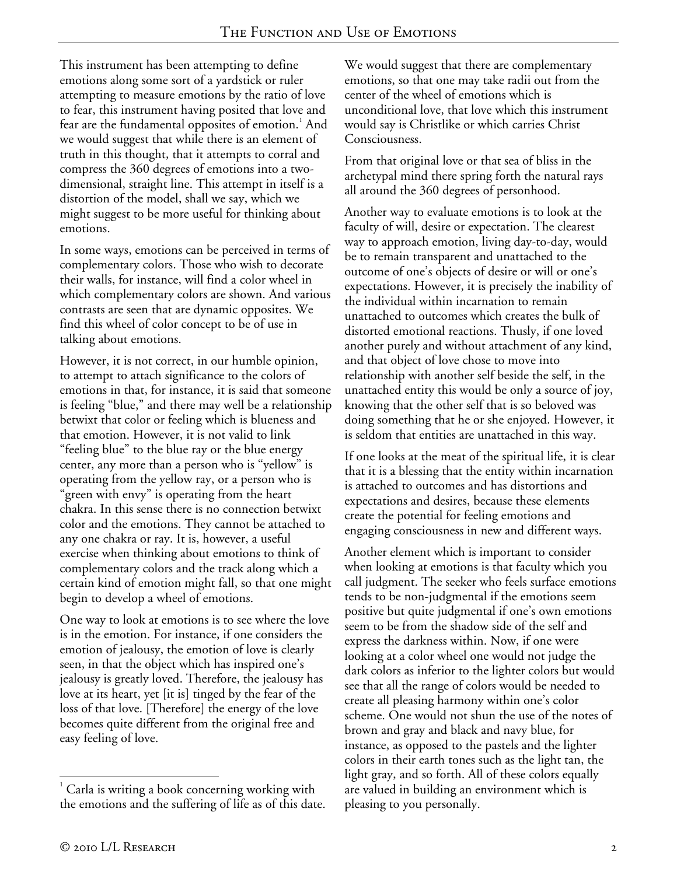This instrument has been attempting to define emotions along some sort of a yardstick or ruler attempting to measure emotions by the ratio of love to fear, this instrument having posited that love and fear are the fundamental opposites of emotion.<sup>1</sup> And we would suggest that while there is an element of truth in this thought, that it attempts to corral and compress the 360 degrees of emotions into a twodimensional, straight line. This attempt in itself is a distortion of the model, shall we say, which we might suggest to be more useful for thinking about emotions.

In some ways, emotions can be perceived in terms of complementary colors. Those who wish to decorate their walls, for instance, will find a color wheel in which complementary colors are shown. And various contrasts are seen that are dynamic opposites. We find this wheel of color concept to be of use in talking about emotions.

However, it is not correct, in our humble opinion, to attempt to attach significance to the colors of emotions in that, for instance, it is said that someone is feeling "blue," and there may well be a relationship betwixt that color or feeling which is blueness and that emotion. However, it is not valid to link "feeling blue" to the blue ray or the blue energy center, any more than a person who is "yellow" is operating from the yellow ray, or a person who is "green with envy" is operating from the heart chakra. In this sense there is no connection betwixt color and the emotions. They cannot be attached to any one chakra or ray. It is, however, a useful exercise when thinking about emotions to think of complementary colors and the track along which a certain kind of emotion might fall, so that one might begin to develop a wheel of emotions.

One way to look at emotions is to see where the love is in the emotion. For instance, if one considers the emotion of jealousy, the emotion of love is clearly seen, in that the object which has inspired one's jealousy is greatly loved. Therefore, the jealousy has love at its heart, yet [it is] tinged by the fear of the loss of that love. [Therefore] the energy of the love becomes quite different from the original free and easy feeling of love.

We would suggest that there are complementary emotions, so that one may take radii out from the center of the wheel of emotions which is unconditional love, that love which this instrument would say is Christlike or which carries Christ Consciousness.

From that original love or that sea of bliss in the archetypal mind there spring forth the natural rays all around the 360 degrees of personhood.

Another way to evaluate emotions is to look at the faculty of will, desire or expectation. The clearest way to approach emotion, living day-to-day, would be to remain transparent and unattached to the outcome of one's objects of desire or will or one's expectations. However, it is precisely the inability of the individual within incarnation to remain unattached to outcomes which creates the bulk of distorted emotional reactions. Thusly, if one loved another purely and without attachment of any kind, and that object of love chose to move into relationship with another self beside the self, in the unattached entity this would be only a source of joy, knowing that the other self that is so beloved was doing something that he or she enjoyed. However, it is seldom that entities are unattached in this way.

If one looks at the meat of the spiritual life, it is clear that it is a blessing that the entity within incarnation is attached to outcomes and has distortions and expectations and desires, because these elements create the potential for feeling emotions and engaging consciousness in new and different ways.

Another element which is important to consider when looking at emotions is that faculty which you call judgment. The seeker who feels surface emotions tends to be non-judgmental if the emotions seem positive but quite judgmental if one's own emotions seem to be from the shadow side of the self and express the darkness within. Now, if one were looking at a color wheel one would not judge the dark colors as inferior to the lighter colors but would see that all the range of colors would be needed to create all pleasing harmony within one's color scheme. One would not shun the use of the notes of brown and gray and black and navy blue, for instance, as opposed to the pastels and the lighter colors in their earth tones such as the light tan, the light gray, and so forth. All of these colors equally are valued in building an environment which is pleasing to you personally.

<sup>&</sup>lt;u>.</u> 1 Carla is writing a book concerning working with the emotions and the suffering of life as of this date.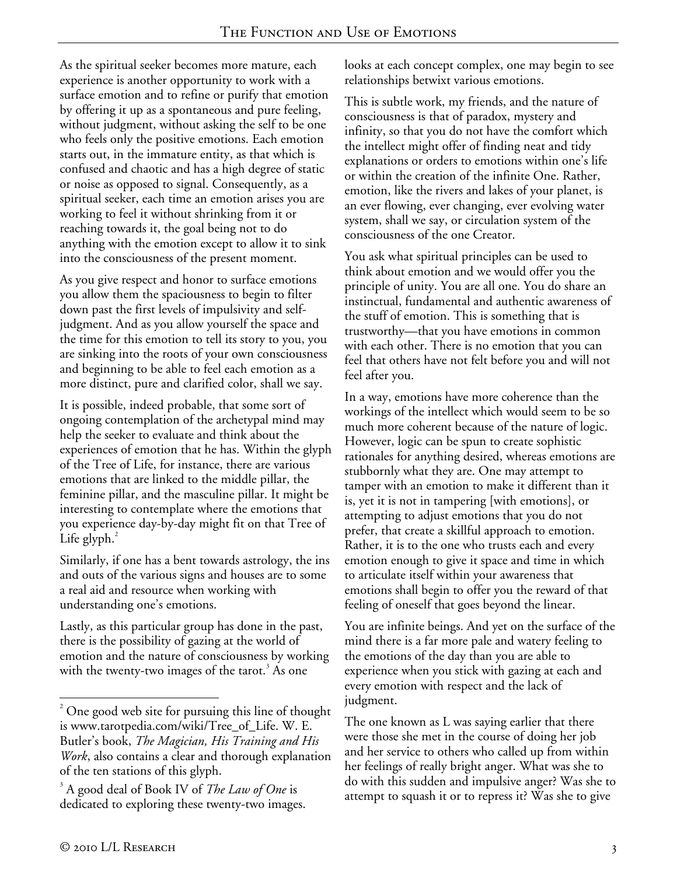As the spiritual seeker becomes more mature, each experience is another opportunity to work with a surface emotion and to refine or purify that emotion by offering it up as a spontaneous and pure feeling, without judgment, without asking the self to be one who feels only the positive emotions. Each emotion starts out, in the immature entity, as that which is confused and chaotic and has a high degree of static or noise as opposed to signal. Consequently, as a spiritual seeker, each time an emotion arises you are working to feel it without shrinking from it or reaching towards it, the goal being not to do anything with the emotion except to allow it to sink into the consciousness of the present moment.

As you give respect and honor to surface emotions you allow them the spaciousness to begin to filter down past the first levels of impulsivity and selfjudgment. And as you allow yourself the space and the time for this emotion to tell its story to you, you are sinking into the roots of your own consciousness and beginning to be able to feel each emotion as a more distinct, pure and clarified color, shall we say.

It is possible, indeed probable, that some sort of ongoing contemplation of the archetypal mind may help the seeker to evaluate and think about the experiences of emotion that he has. Within the glyph of the Tree of Life, for instance, there are various emotions that are linked to the middle pillar, the feminine pillar, and the masculine pillar. It might be interesting to contemplate where the emotions that you experience day-by-day might fit on that Tree of Life glyph. $^{2}$ 

Similarly, if one has a bent towards astrology, the ins and outs of the various signs and houses are to some a real aid and resource when working with understanding one's emotions.

Lastly, as this particular group has done in the past, there is the possibility of gazing at the world of emotion and the nature of consciousness by working with the twenty-two images of the tarot. $^3$  As one

looks at each concept complex, one may begin to see relationships betwixt various emotions.

This is subtle work, my friends, and the nature of consciousness is that of paradox, mystery and infinity, so that you do not have the comfort which the intellect might offer of finding neat and tidy explanations or orders to emotions within one's life or within the creation of the infinite One. Rather, emotion, like the rivers and lakes of your planet, is an ever flowing, ever changing, ever evolving water system, shall we say, or circulation system of the consciousness of the one Creator.

You ask what spiritual principles can be used to think about emotion and we would offer you the principle of unity. You are all one. You do share an instinctual, fundamental and authentic awareness of the stuff of emotion. This is something that is trustworthy—that you have emotions in common with each other. There is no emotion that you can feel that others have not felt before you and will not feel after you.

In a way, emotions have more coherence than the workings of the intellect which would seem to be so much more coherent because of the nature of logic. However, logic can be spun to create sophistic rationales for anything desired, whereas emotions are stubbornly what they are. One may attempt to tamper with an emotion to make it different than it is, yet it is not in tampering [with emotions], or attempting to adjust emotions that you do not prefer, that create a skillful approach to emotion. Rather, it is to the one who trusts each and every emotion enough to give it space and time in which to articulate itself within your awareness that emotions shall begin to offer you the reward of that feeling of oneself that goes beyond the linear.

You are infinite beings. And yet on the surface of the mind there is a far more pale and watery feeling to the emotions of the day than you are able to experience when you stick with gazing at each and every emotion with respect and the lack of judgment.

The one known as L was saying earlier that there were those she met in the course of doing her job and her service to others who called up from within her feelings of really bright anger. What was she to do with this sudden and impulsive anger? Was she to attempt to squash it or to repress it? Was she to give

 $\overline{a}$ 

 $2^2$  One good web site for pursuing this line of thought is www.tarotpedia.com/wiki/Tree\_of\_Life. W. E. Butler's book, *The Magician, His Training and His Work*, also contains a clear and thorough explanation of the ten stations of this glyph.

<sup>3</sup> A good deal of Book IV of *The Law of One* is dedicated to exploring these twenty-two images.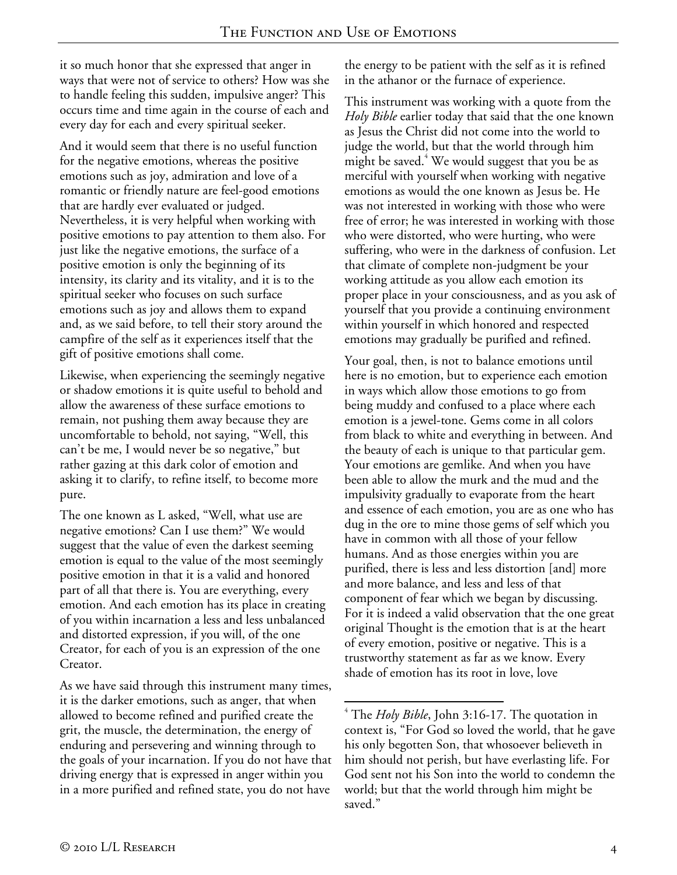it so much honor that she expressed that anger in ways that were not of service to others? How was she to handle feeling this sudden, impulsive anger? This occurs time and time again in the course of each and every day for each and every spiritual seeker.

And it would seem that there is no useful function for the negative emotions, whereas the positive emotions such as joy, admiration and love of a romantic or friendly nature are feel-good emotions that are hardly ever evaluated or judged. Nevertheless, it is very helpful when working with positive emotions to pay attention to them also. For just like the negative emotions, the surface of a positive emotion is only the beginning of its intensity, its clarity and its vitality, and it is to the spiritual seeker who focuses on such surface emotions such as joy and allows them to expand and, as we said before, to tell their story around the campfire of the self as it experiences itself that the gift of positive emotions shall come.

Likewise, when experiencing the seemingly negative or shadow emotions it is quite useful to behold and allow the awareness of these surface emotions to remain, not pushing them away because they are uncomfortable to behold, not saying, "Well, this can't be me, I would never be so negative," but rather gazing at this dark color of emotion and asking it to clarify, to refine itself, to become more pure.

The one known as L asked, "Well, what use are negative emotions? Can I use them?" We would suggest that the value of even the darkest seeming emotion is equal to the value of the most seemingly positive emotion in that it is a valid and honored part of all that there is. You are everything, every emotion. And each emotion has its place in creating of you within incarnation a less and less unbalanced and distorted expression, if you will, of the one Creator, for each of you is an expression of the one Creator.

As we have said through this instrument many times, it is the darker emotions, such as anger, that when allowed to become refined and purified create the grit, the muscle, the determination, the energy of enduring and persevering and winning through to the goals of your incarnation. If you do not have that driving energy that is expressed in anger within you in a more purified and refined state, you do not have

the energy to be patient with the self as it is refined in the athanor or the furnace of experience.

This instrument was working with a quote from the *Holy Bible* earlier today that said that the one known as Jesus the Christ did not come into the world to judge the world, but that the world through him might be saved. $4$  We would suggest that you be as merciful with yourself when working with negative emotions as would the one known as Jesus be. He was not interested in working with those who were free of error; he was interested in working with those who were distorted, who were hurting, who were suffering, who were in the darkness of confusion. Let that climate of complete non-judgment be your working attitude as you allow each emotion its proper place in your consciousness, and as you ask of yourself that you provide a continuing environment within yourself in which honored and respected emotions may gradually be purified and refined.

Your goal, then, is not to balance emotions until here is no emotion, but to experience each emotion in ways which allow those emotions to go from being muddy and confused to a place where each emotion is a jewel-tone. Gems come in all colors from black to white and everything in between. And the beauty of each is unique to that particular gem. Your emotions are gemlike. And when you have been able to allow the murk and the mud and the impulsivity gradually to evaporate from the heart and essence of each emotion, you are as one who has dug in the ore to mine those gems of self which you have in common with all those of your fellow humans. And as those energies within you are purified, there is less and less distortion [and] more and more balance, and less and less of that component of fear which we began by discussing. For it is indeed a valid observation that the one great original Thought is the emotion that is at the heart of every emotion, positive or negative. This is a trustworthy statement as far as we know. Every shade of emotion has its root in love, love

 $\overline{a}$ 4 The *Holy Bible*, John 3:16-17. The quotation in context is, "For God so loved the world, that he gave his only begotten Son, that whosoever believeth in him should not perish, but have everlasting life. For God sent not his Son into the world to condemn the world; but that the world through him might be saved."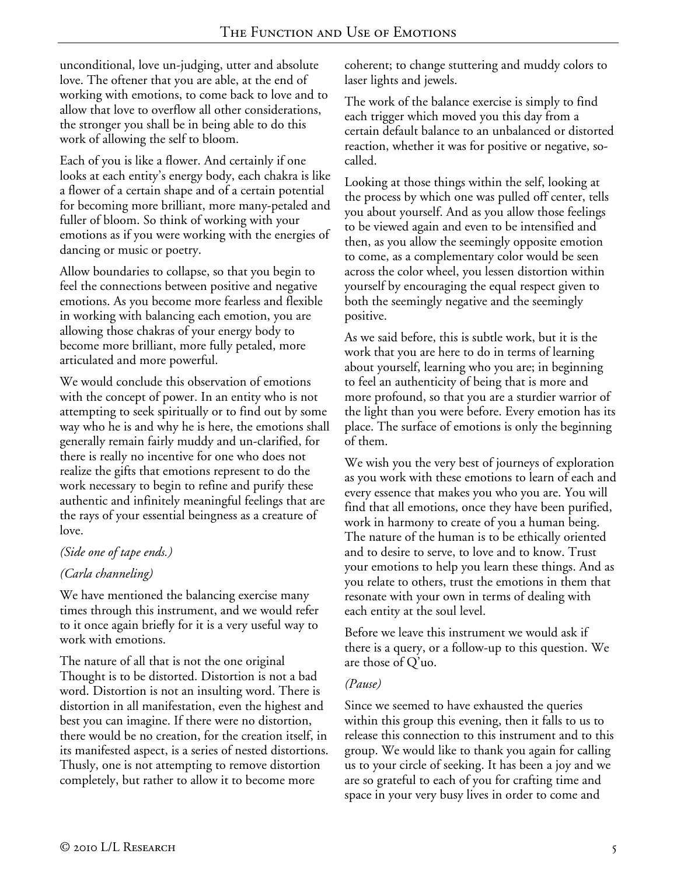unconditional, love un-judging, utter and absolute love. The oftener that you are able, at the end of working with emotions, to come back to love and to allow that love to overflow all other considerations, the stronger you shall be in being able to do this work of allowing the self to bloom.

Each of you is like a flower. And certainly if one looks at each entity's energy body, each chakra is like a flower of a certain shape and of a certain potential for becoming more brilliant, more many-petaled and fuller of bloom. So think of working with your emotions as if you were working with the energies of dancing or music or poetry.

Allow boundaries to collapse, so that you begin to feel the connections between positive and negative emotions. As you become more fearless and flexible in working with balancing each emotion, you are allowing those chakras of your energy body to become more brilliant, more fully petaled, more articulated and more powerful.

We would conclude this observation of emotions with the concept of power. In an entity who is not attempting to seek spiritually or to find out by some way who he is and why he is here, the emotions shall generally remain fairly muddy and un-clarified, for there is really no incentive for one who does not realize the gifts that emotions represent to do the work necessary to begin to refine and purify these authentic and infinitely meaningful feelings that are the rays of your essential beingness as a creature of love.

## *(Side one of tape ends.)*

## *(Carla channeling)*

We have mentioned the balancing exercise many times through this instrument, and we would refer to it once again briefly for it is a very useful way to work with emotions.

The nature of all that is not the one original Thought is to be distorted. Distortion is not a bad word. Distortion is not an insulting word. There is distortion in all manifestation, even the highest and best you can imagine. If there were no distortion, there would be no creation, for the creation itself, in its manifested aspect, is a series of nested distortions. Thusly, one is not attempting to remove distortion completely, but rather to allow it to become more

coherent; to change stuttering and muddy colors to laser lights and jewels.

The work of the balance exercise is simply to find each trigger which moved you this day from a certain default balance to an unbalanced or distorted reaction, whether it was for positive or negative, socalled.

Looking at those things within the self, looking at the process by which one was pulled off center, tells you about yourself. And as you allow those feelings to be viewed again and even to be intensified and then, as you allow the seemingly opposite emotion to come, as a complementary color would be seen across the color wheel, you lessen distortion within yourself by encouraging the equal respect given to both the seemingly negative and the seemingly positive.

As we said before, this is subtle work, but it is the work that you are here to do in terms of learning about yourself, learning who you are; in beginning to feel an authenticity of being that is more and more profound, so that you are a sturdier warrior of the light than you were before. Every emotion has its place. The surface of emotions is only the beginning of them.

We wish you the very best of journeys of exploration as you work with these emotions to learn of each and every essence that makes you who you are. You will find that all emotions, once they have been purified, work in harmony to create of you a human being. The nature of the human is to be ethically oriented and to desire to serve, to love and to know. Trust your emotions to help you learn these things. And as you relate to others, trust the emotions in them that resonate with your own in terms of dealing with each entity at the soul level.

Before we leave this instrument we would ask if there is a query, or a follow-up to this question. We are those of Q'uo.

# *(Pause)*

Since we seemed to have exhausted the queries within this group this evening, then it falls to us to release this connection to this instrument and to this group. We would like to thank you again for calling us to your circle of seeking. It has been a joy and we are so grateful to each of you for crafting time and space in your very busy lives in order to come and